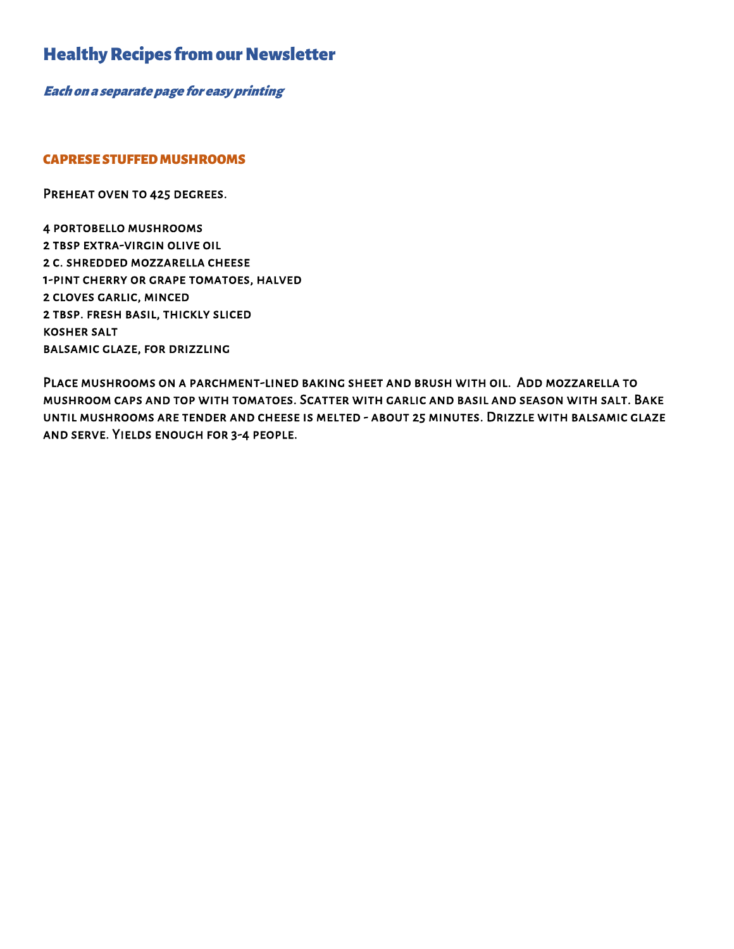# Healthy Recipes from our Newsletter

Each on a separate page for easy printing

#### CAPRESE STUFFED MUSHROOMS

PREHEAT OVEN TO 425 DEGREES.

4 portobello mushrooms 2 tbsp extra-virgin olive oil 2 c. shredded mozzarella cheese 1-pint cherry or grape tomatoes, halved 2 cloves garlic, minced 2 tbsp. fresh basil, thickly sliced kosher salt balsamic glaze, for drizzling

Place mushrooms on a parchment-lined baking sheet and brush with oil. Add mozzarella to mushroom caps and top with tomatoes. Scatter with garlic and basil and season with salt. Bake until mushrooms are tender and cheese is melted - about 25 minutes. Drizzle with balsamic glaze and serve. Yields enough for 3-4 people.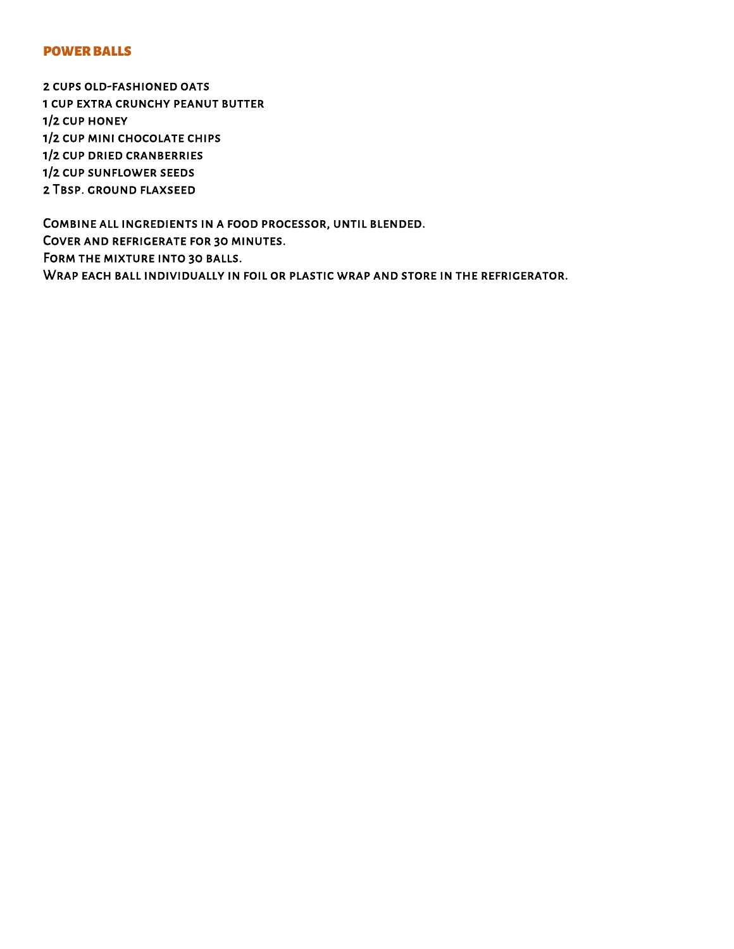#### POWER BALLS

2 cups old-fashioned oats 1 cup extra crunchy peanut butter 1/2 cup honey 1/2 cup mini chocolate chips 1/2 cup dried cranberries 1/2 cup sunflower seeds 2 Tbsp. ground flaxseed

Combine all ingredients in a food processor, until blended. Cover and refrigerate for 30 minutes. Form the mixture into 30 balls. WRAP EACH BALL INDIVIDUALLY IN FOIL OR PLASTIC WRAP AND STORE IN THE REFRIGERATOR.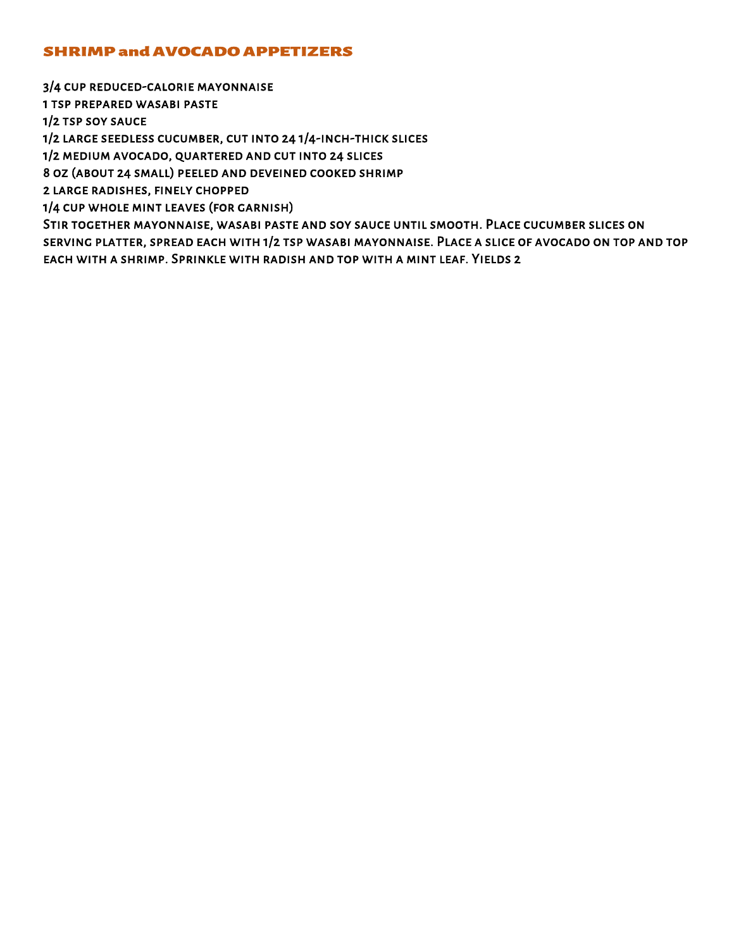## **SHRIMP and AVOCADO APPETIZERS**

3/4 cup reduced-calorie mayonnaise

1 tsp prepared wasabi paste

1/2 tsp soy sauce

1/2 large seedless cucumber, cut into 24 1/4-inch-thick slices

1/2 medium avocado, quartered and cut into 24 slices

8 oz (about 24 small) peeled and deveined cooked shrimp

2 large radishes, finely chopped

1/4 cup whole mint leaves (for garnish)

Stir together mayonnaise, wasabi paste and soy sauce until smooth. Place cucumber slices on serving platter, spread each with 1/2 tsp wasabi mayonnaise. Place a slice of avocado on top and top each with a shrimp. Sprinkle with radish and top with a mint leaf. Yields 2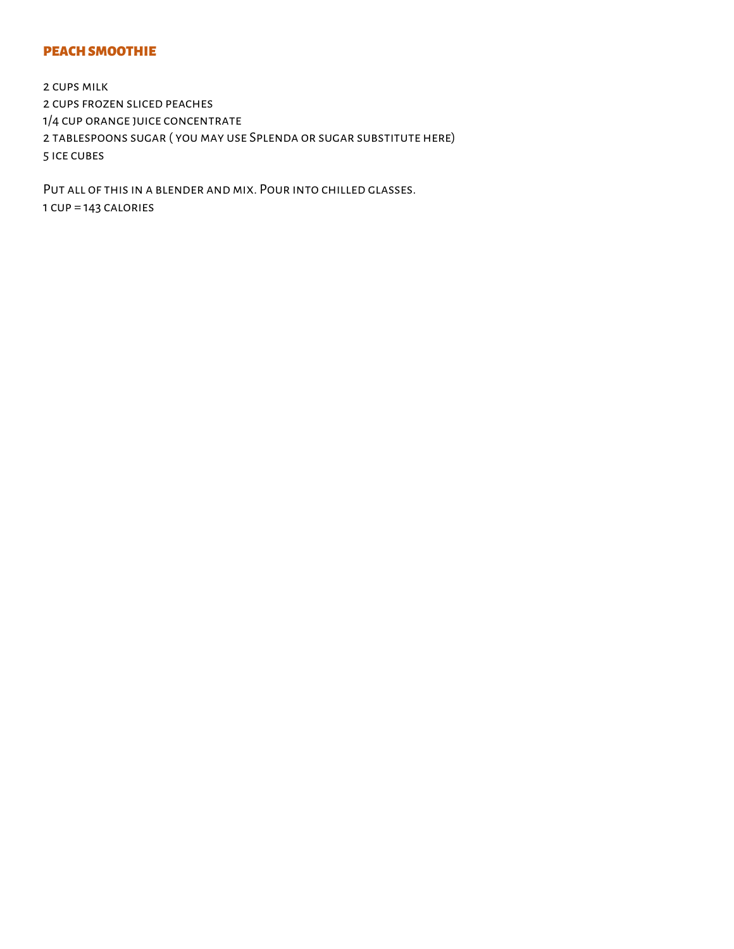### PEACH SMOOTHIE

2 cups milk 2 cups frozen sliced peaches 1/4 cup orange juice concentrate 2 tablespoons sugar ( you may use Splenda or sugar substitute here) 5 ice cubes

Put all of this in a blender and mix. Pour into chilled glasses. 1 cup = 143 calories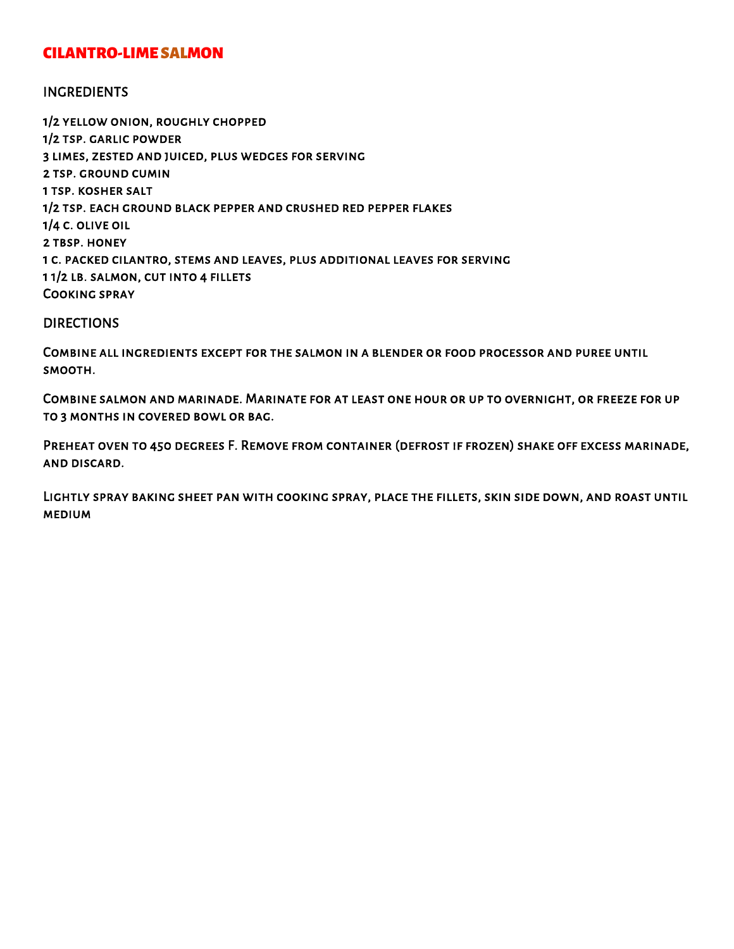# CILANTRO-LIME SALMON

### INGREDIENTS

1/2 yellow onion, roughly chopped 1/2 tsp. garlic powder 3 limes, zested and juiced, plus wedges for serving 2 tsp. ground cumin 1 tsp. kosher salt 1/2 tsp. each ground black pepper and crushed red pepper flakes 1/4 c. olive oil 2 tbsp. honey 1 c. packed cilantro, stems and leaves, plus additional leaves for serving 1 1/2 lb. salmon, cut into 4 fillets Cooking spray

#### DIRECTIONS

Combine all ingredients except for the salmon in a blender or food processor and puree until smooth.

Combine salmon and marinade. Marinate for at least one hour or up to overnight, or freeze for up to 3 months in covered bowl or bag.

Preheat oven to 450 degrees F. Remove from container (defrost if frozen) shake off excess marinade, and discard.

Lightly spray baking sheet pan with cooking spray, place the fillets, skin side down, and roast until medium